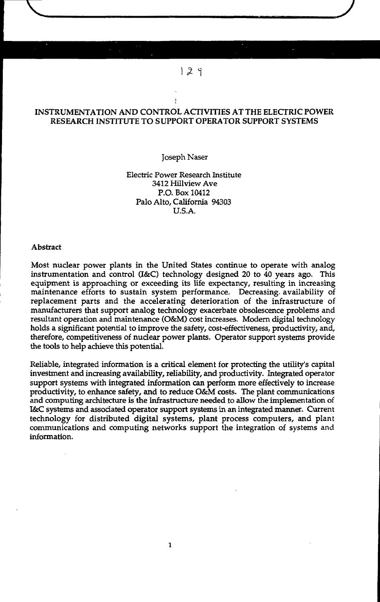### INSTRUMENTATION AND CONTROL ACTIVITIES AT THE ELECTRIC POWER RESEARCH INSTITUTE TO SUPPORT OPERATOR SUPPORT SYSTEMS

 $129$ 

**J**

### Joseph Naser

Electric Power Research Institute 3412 Hillview Ave P.O. Box 10412 Palo Alto, California 94303 U.S.A.

### Abstract

Most nuclear power plants in the United States continue to operate with analog instrumentation and control (I&C) technology designed 20 to 40 years ago. This equipment is approaching or exceeding its life expectancy, resulting in increasing maintenance efforts to sustain system performance. Decreasing- availability of replacement parts and the accelerating deterioration of the infrastructure of manufacturers that support analog technology exacerbate obsolescence problems and resultant operation and maintenance (O&M) cost increases. Modern digital technology holds a significant potential to improve the safety, cost-effectiveness, productivity, and, therefore, competitiveness of nuclear power plants. Operator support systems provide the tools to help achieve this potential.

Reliable, integrated information is a critical element for protecting the utility's capital investment and increasing availability, reliability, and productivity. Integrated operator support systems with integrated information can perform more effectively to increase productivity, to enhance safety, and to reduce O&M costs. The plant communications and computing architecture is the infrastructure needed to allow the implementation of I&C systems and associated operator support systems in an integrated manner. Current technology for distributed digital systems, plant process computers, and plant communications and computing networks support the integration of systems and information.

 $\mathbf{1}$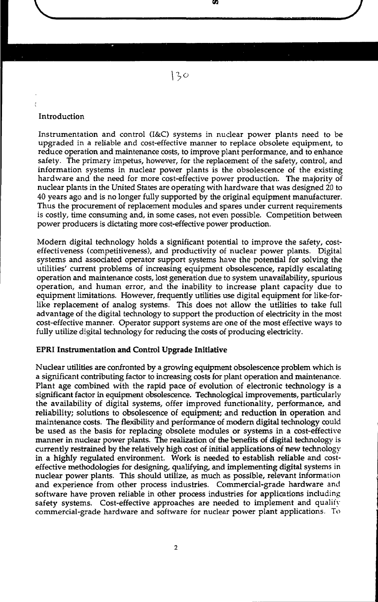Introduction

Instrumentation and control (I&C) systems in nuclear power plants need to be upgraded in a reliable and cost-effective manner to replace obsolete equipment, to reduce operation and maintenance costs, to improve plant performance, and to enhance safety. The primary impetus, however, for the replacement of the safety, control, and information systems in nuclear power plants is the obsolescence of the existing hardware and the need for more cost-effective power production. The majority of nuclear plants in the United States are operating with hardware that was designed 20 to 40 years ago and is no longer fully supported by the original equipment manufacturer. Thus the procurement of replacement modules and spares under current requirements is costly, time consuming and, in some cases, not even possible. Competition between power producers is dictating more cost-effective power production.

Modern digital technology holds a significant potential to improve the safety, costeffectiveness (competitiveness), and productivity of nuclear power plants. Digital systems and associated operator support systems have the potential for solving the utilities' current problems of increasing equipment obsolescence, rapidly escalating operation and maintenance costs, lost generation due to system unavailability, spurious operation, and human error, and the inability to increase plant capacity due to equipment limitations. However, frequently utilities use digital equipment for like-forlike replacement of analog systems. This does not allow the utilities to take full advantage of the digital technology to support the production of electricity in the most cost-effective manner. Operator support systems are one of the most effective ways to fully utilize digital technology for reducing the costs of producing electricity.

### EPRI Instrumentation and Control Upgrade Initiative

Nuclear utilities are confronted by a growing equipment obsolescence problem which is a significant contributing factor to increasing costs for plant operation and maintenance. Plant age combined with the rapid pace of evolution of electronic technology is a significant factor in equipment obsolescence. Technological improvements, particularly the availability of digital systems, offer improved functionality, performance, and reliability; solutions to obsolescence of equipment; and reduction in operation and maintenance costs. The flexibility and performance of modern digital technology could be used as the basis for replacing obsolete modules or systems in a cost-effective manner in nuclear power plants. The realization of the benefits of digital technology is currently restrained by the relatively high cost of initial applications of new technology in a highly regulated environment. Work is needed to establish reliable and costeffective methodologies for designing, qualifying, and implementing digital systems in nuclear power plants. This should utilize, as much as possible, relevant information and experience from other process industries. Commercial-grade hardware and software have proven reliable in other process industries for applications including safety systems. Cost-effective approaches are needed to implement and qualify commercial-grade hardware and software for nuclear power plant applications. To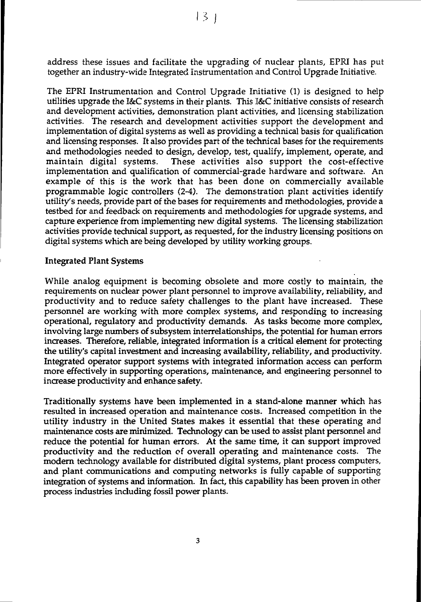address these issues and facilitate the upgrading of nuclear plants, EPRI has put together an industry-wide Integrated Instrumentation and Control Upgrade Initiative.

The EPRI Instrumentation and Control Upgrade Initiative (1) is designed to help utilities upgrade the I&C systems in their plants. This I&C initiative consists of research and development activities, demonstration plant activities, and licensing stabilization activities. The research and development activities support the development and implementation of digital systems as well as providing a technical basis for qualification and licensing responses. It also provides part of the technical bases for lhe requirements and methodologies needed to design, develop, test, qualify, implement, operate, and maintain digital systems. These activities also support the cost-effective implementation and qualification of commercial-grade hardware and software. An example of this is the work that has been done on commercially available programmable logic controllers (2-4). The demonstration plant activities identify utility's needs, provide part of the bases for requirements and methodologies, provide a testbed for and feedback on requirements and methodologies for upgrade systems, and capture experience from implementing new digital systems. The licensing stabilization activities provide technical support, as requested, for the industry licensing positions on digital systems which are being developed by utility working groups.

### Integrated Plant Systems

While analog equipment is becoming obsolete and more costly to maintain, the requirements on nuclear power plant personnel to improve availability, reliability, and productivity and to reduce safety challenges to the plant have increased. These personnel are working with more complex systems, and responding to increasing operational, regulatory and productivity demands. As tasks become more complex, involving large numbers of subsystem interrelationships, the potential for human errors increases. Therefore, reliable, integrated information is a critical element for protecting the utility's capital investment and increasing availability, reliability, and productivity. Integrated operator support systems with integrated information access can perform more effectively in supporting operations, maintenance, and engineering personnel to increase productivity and enhance safety.

Traditionally systems have been implemented in a stand-alone manner which has resulted in increased operation and maintenance costs. Increased competition in the utility industry in the United States makes it essential that these operating and maintenance costs are minimized. Technology can be used to assist plant personnel and reduce the potential for human errors. At the same time, it can support improved productivity and the reduction of overall operating and maintenance costs. The modern technology available for distributed digital systems, plant process computers, and plant communications and computing networks is fully capable of supporting integration of systems and information. In fact, this capability has been proven in other process industries including fossil power plants.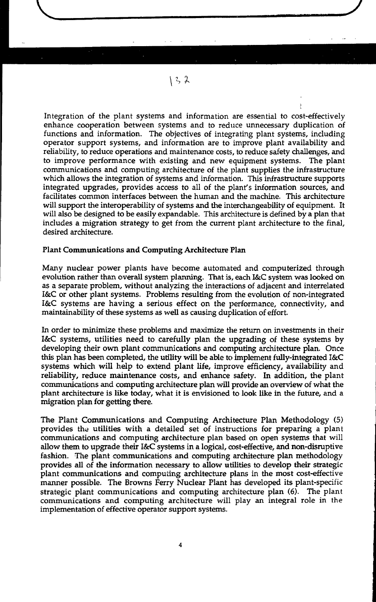Integration of the plant systems and information are essential to cost-effectively enhance cooperation between systems and to reduce unnecessary duplication of functions and information. The objectives of integrating plant systems, including operator support systems, and information are to improve plant availability and reliability, to reduce operations and maintenance costs, to reduce safety challenges, and to improve performance with existing and new equipment systems. The plant communications and computing architecture of the plant supplies the infrastructure which allows the integration of systems and information. This infrastructure supports integrated upgrades, provides access to all of the plant's information sources, and facilitates common interfaces between the human and the machine. This architecture will support the interoperability of systems and the interchangeability of equipment. It will also be designed to be easily expandable. This architecture is defined by a plan that includes a migration strategy to get from the current plant architecture to the final, desired architecture.

 $132$ 

### Plant Communications and Computing Architecture Plan

Many nuclear power plants have become automated and computerized through evolution rather than overall system planning. That is, each I&C system was looked on as a separate problem, without analyzing the interactions of adjacent and interrelated I&C or other plant systems. Problems resulting from the evolution of non-integrated I&C systems are having a serious effect on the performance, connectivity, and maintainability of these systems as well as causing duplication of effort.

In order to minimize these problems and maximize the return on investments in their I&C systems, utilities need to carefully plan the upgrading of these systems by developing their own plant communications and computing architecture plan. Once this plan has been completed, the utility will be able to implement fully-integrated I&C systems which will help to extend plant life, improve efficiency, availability and reliability, reduce maintenance costs, and enhance safety. In addition, the plant communications and computing architecture plan will provide an overview of what the plant architecture is like today, what it is envisioned to look like in the future, and a migration plan for getting there.

The Plant Communications and Computing Architecture Plan Methodology (5) provides the utilities with a detailed set of instructions for preparing a plant communications and computing architecture plan based on open systems that will allow them to upgrade their I&C systems in a logical, cost-effective, and non-disruptive fashion. The plant communications and computing architecture plan methodology provides all of the information necessary to allow utilities to develop their strategic plant communications and computing architecture plans in the most cost-effective manner possible. The Browns Ferry Nuclear Plant has developed its plant-specific strategic plant communications and computing architecture plan (6). The plant communications and computing architecture will play an integral role in the implementation of effective operator support systems.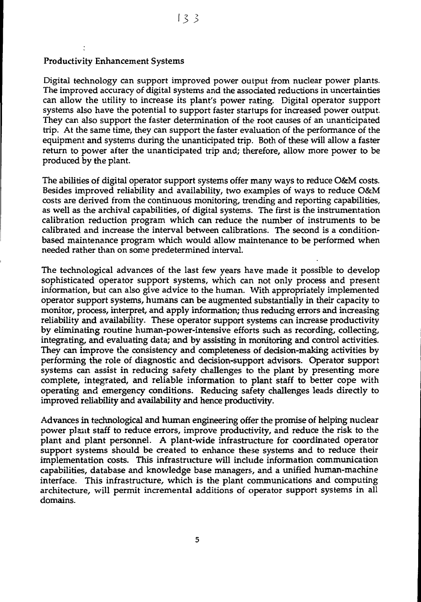### Productivity Enhancement Systems

Digital technology can support improved power output from nuclear power plants. The improved accuracy of digital systems and the associated reductions in uncertainties can allow the utility to increase its plant's power rating. Digital operator support systems also have the potential to support faster startups for increased power output. They can also support the faster determination of the root causes of an unanticipated trip. At the same time, they can support the faster evaluation of the performance of the equipment and systems during the unanticipated trip. Both of these will allow a faster return to power after the unanticipated trip and; therefore, allow more power to be produced by the plant.

The abilities of digital operator support systems offer many ways to reduce O&M costs. Besides improved reliability and availability, two examples of ways to reduce O&M costs are derived from the continuous monitoring, trending and reporting capabilities, as well as the archival capabilities, of digital systems. The first is the instrumentation calibration reduction program which can reduce the number of instruments to be calibrated and increase the interval between calibrations. The second is a conditionbased maintenance program which would allow maintenance to be performed when needed rather than on some predetermined interval.

The technological advances of the last few years have made it possible to develop sophisticated operator support systems, which can not only process and present information, but can also give advice to the human. With appropriately implemented operator support systems, humans can be augmented substantially in their capacity to monitor, process, interpret, and apply information; thus reducing errors and increasing reliability and availability. These operator support systems can increase productivity by eliminating routine human-power-intensive efforts such as recording, collecting, integrating, and evaluating data; and by assisting in monitoring and control activities. They can improve the consistency and completeness of decision-making activities by performing the role of diagnostic and decision-support advisors. Operator support systems can assist in reducing safety challenges to the plant by presenting more complete, integrated, and reliable information to plant staff to better cope with operating and emergency conditions. Reducing safety challenges leads directly to improved reliability and availability and hence productivity.

Advances in technological and human engineering offer the promise of helping nuclear power plaiit staff to reduce errors, improve productivity, and reduce the risk to the plant and plant personnel. A plant-wide infrastructure for coordinated operator support systems should be created to enhance these systems and to reduce their implementation costs. This infrastructure will include information communication capabilities, database and knowledge base managers, and a unified human-machine interface. This infrastructure, which is the plant communications and computing architecture, will permit incremental additions of operator support systems in all domains.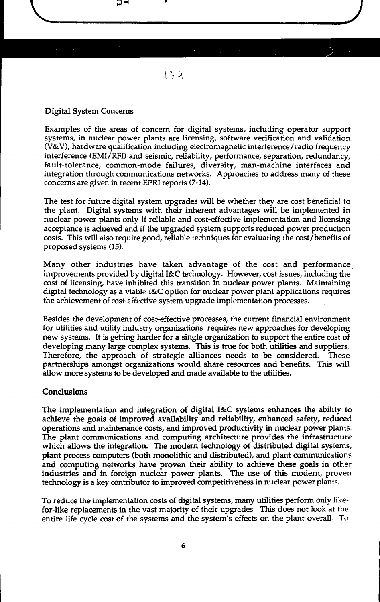### Digital System Concerns

Examples of the areas of concern for digital systems, including operator support systems, in nuclear power plants are licensing, software verification and validation (V&V), hardware qualification including electromagnetic interference/radio frequency interference (EMI/RFI) and seismic, reliability, performance, separation, redundancy, fault-tolerance, common-mode failures, diversity, man-machine interfaces and integration through communications networks. Approaches to address many of these concerns are given in recent EFRI reports (7-14).

The test for future digital system upgrades will be whether they are cost beneficial to the plant. Digital systems with their inherent advantages will be implemented in nuclear power plants only if reliable and cost-effective implementation and licensing acceptance is achieved and if the upgraded system supports reduced power production costs. This will also require good, reliable techniques for evaluating the cost/benefits of proposed systems (15).

Many other industries have taken advantage of the cost and performance improvements provided by digital I&C technology. However, cost issues, including the cost of licensing, have inhibited this transition in nuclear power plants. Maintaining digital technology as a viable I&C option for nuclear power plant applications requires the achievement of cost-effective system upgrade implementation processes.

Besides the development of cost-effective processes, the current financial environment for utilities and utility industry organizations requires new approaches for developing new systems. It is getting harder for a single organization to support the entire cost of developing many large complex systems. This is true for both utilities and suppliers. Therefore, the approach of strategic alliances needs to be considered. These partnerships amongst organizations would share resources and benefits. This will allow more systems to be developed and made available to the utilities.

### **Conclusions**

The implementation and integration of digital I&C systems enhances the ability to achieve the goals of improved availability and reliability, enhanced safety, reduced operations and maintenance costs, and improved productivity in nuclear power plants. The plant communications and computing architecture provides the infrastructure which allows the integration. The modern technology of distributed digital systems, plant process computers (both monolithic and distributed), and plant communications and computing networks have proven their ability to achieve these goals in other industries and in foreign nuclear power plants. The use of this modern, proven technology is a key contributor to improved competitiveness in nuclear power plants.

To reduce the implementation costs of digital systems, many utilities perform only likefor-like replacements in the vast majority of their upgrades. This does not look at the entire life cycle cost of the systems and the system's effects on the plant overall. To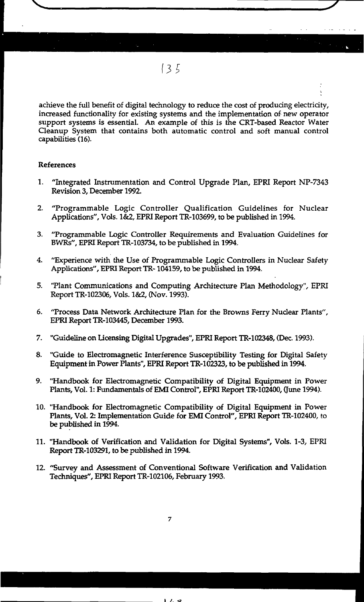achieve the full benefit of digital technology to reduce the cost of producing electricity, increased functionality for existing systems and the implementation of new operator support systems is essential. An example of this is the CRT-based Reactor Water Cleanup System that contains both automatic control and soft manual control capabilities (16).

### References

- 1. "Integrated Instrumentation and Control Upgrade Plan, EPRI Report NP-7343 Revision 3, December 1992.
- 2. "Programmable Logic Controller Qualification Guidelines for Nuclear Applications", Vols. 1&2, EPRI Report TR-103699, to be published in 1994.
- 3. "Programmable Logic Controller Requirements and Evaluation Guidelines for BWRs", EPRI Report TR-103734, to be published in 1994.
- 4. "Experience with the Use of Programmable Logic Controllers in Nuclear Safety Applications", EPRI Report TR-104159, to be published in 1994.
- 5. "Plant Communications and Computing Architecture Plan Methodology", EPRI Report TR-102306, Vols. 1&2, (Nov. 1993).
- 6. "Process Data Network Architecture Plan for the Browns Ferry Nuclear Plants", EPRI Report TR-103445, December 1993.
- 7. "Guideline on Licensing Digital Upgrades", EPRI Report TR-102348, (Dec. 1993).
- 8. "Guide to Electromagnetic Interference Susceptibility Testing for Digital Safety Equipment in Power Plants", EPRI Report TR-102323, to be published in 1994.
- 9. "Handbook for Electromagnetic Compatibility of Digital Equipment in Power Plants, Vol. 1: Fundamentals of EMI Control", EPRI Report TR-102400, (June 1994).
- 10. "Handbook for Electromagnetic Compatibility of Digital Equipment in Power Plants, Vol. 2: Implementation Guide for EMI Control", EPRI Report TR-102400, to be published in 1994.
- 11. "Handbook of Verification and Validation for Digital Systems", Vols. 1-3, EPRI Report TR-103291, to be published in 1994.
- 12. "Survey and Assessment of Conventional Software Verification and Validation Techniques", EPRI Report TR-102106, February 1993.

 $\overline{\mathbf{z}}$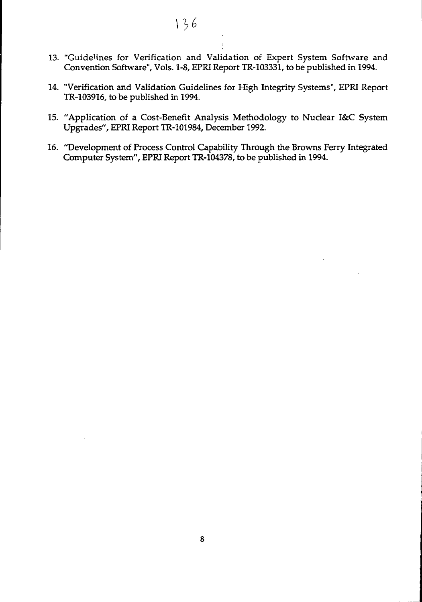- 13. "Guidelines for Verification and Validation of Expert System Software and Convention Software", Vols. 1-8, EPRI Report TR-103331, to be published in 1994.
- 14. "Verification and Validation Guidelines for High Integrity Systems", EPRI Report TR-103916, to be published in 1994.
- 15. "Application of a Cost-Benefit Analysis Methodology to Nuclear I&C System Upgrades", EPRI Report TR-101984, December 1992.
- 16. "Development of Process Control Capability Through the Browns Ferry Integrated Computer System", EPRI Report TR-104378, to be published in 1994.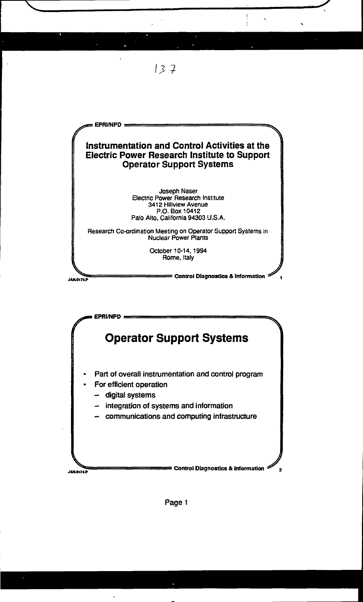



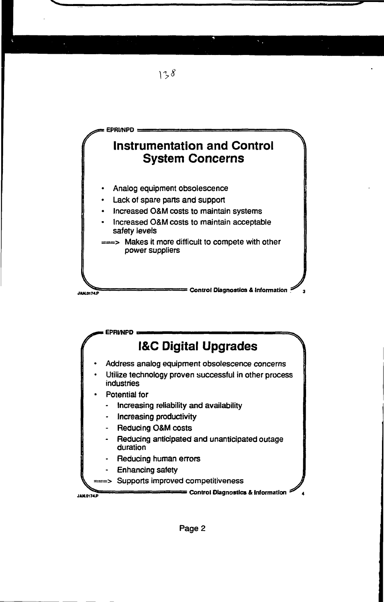

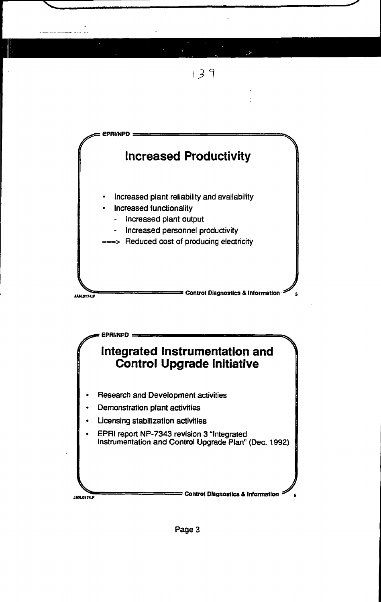

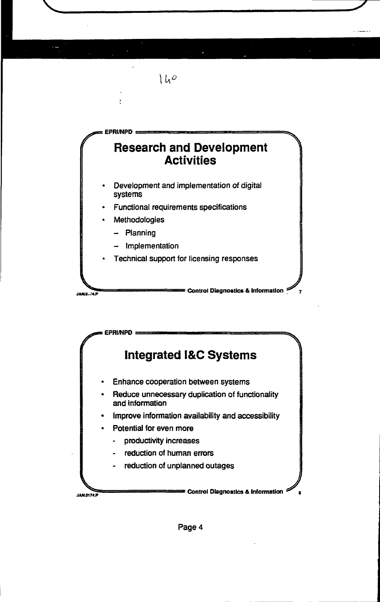

**EPRI/NPD Integrated I&C Systems** Enhance cooperation between systems Reduce unnecessary duplication of functionality and information Improve information availability and accessibility Potential for even more productivity increases reduction of human errors reduction of unplanned outages **: Control Diagnostics & Information** JAND174.P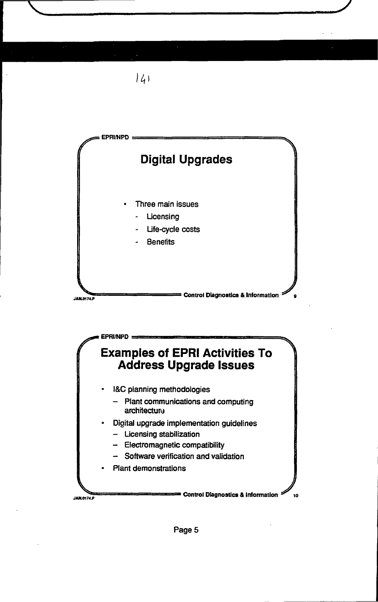

*li,*

# **Examples of EPRI Activities To Address Upgrade Issues**

• I&C planning methodologies

**EPRI/NPD**

- Plant communications and computing architecture
- Digital upgrade implementation guidelines
	- Licensing stabilization
	- Electromagnetic compatibility
	- Software verification and validation
- Plant demonstrations

JAN.0174.P

**• Control Diagnostics & Information**  $\mathscr{D}_{10}$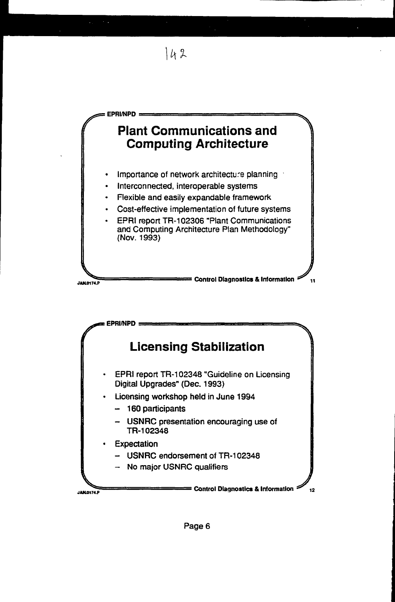



Page 6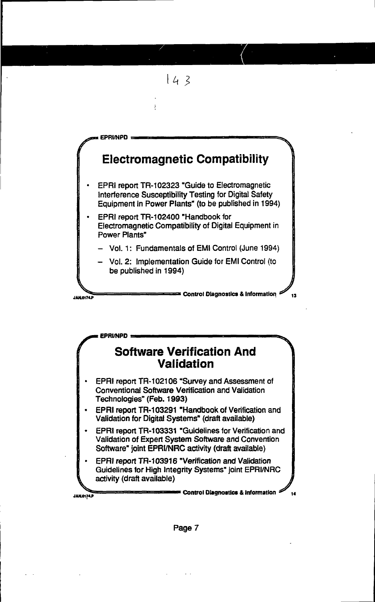



**EPRl/NPD**

**JAK0174J>**

- EPRI report TR-103291 "Handbook of Verification and Validation for Digital Systems" (draft available)
- EPRI report TR-103331 "Guidelines for Verification and Validation of Expert System Software and Convention Software" joint EPRI/NRC activity (draft available)
- EPRI report TR-103916 "Verification and Validation Guidelines for High Integrity Systems" joint EPRI/NRC activity (draft available)

**• Control Diagnostics & Information** 

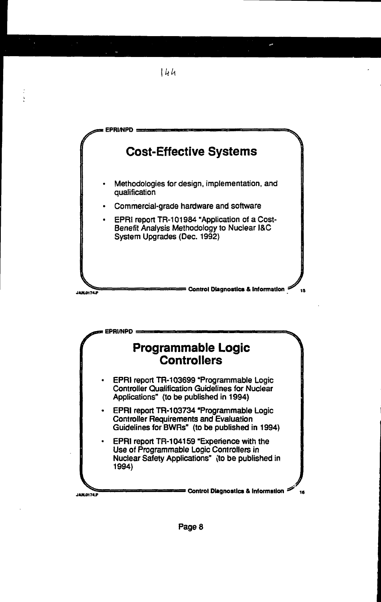

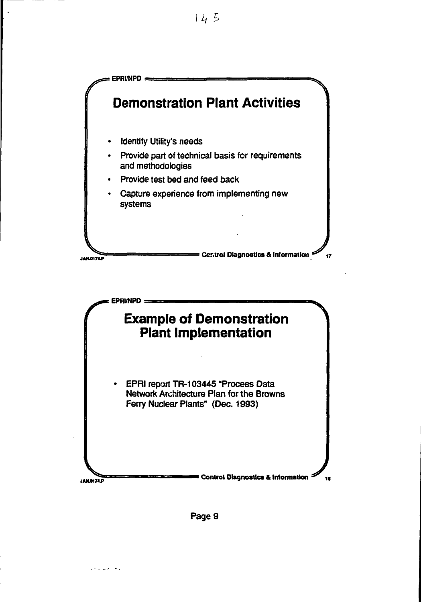





 $\mathcal{O}(1/\sqrt{2})$  and  $\mathcal{O}(1/\sqrt{2})$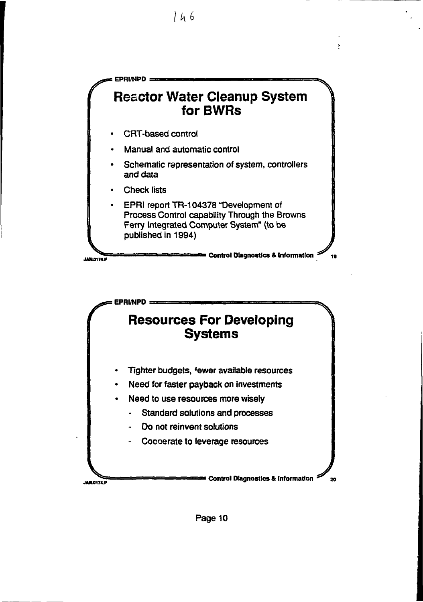

**I**

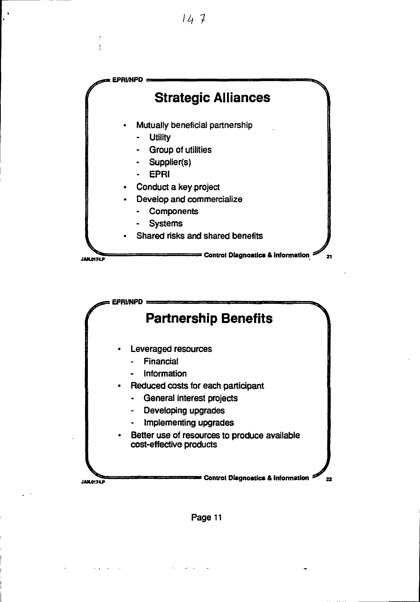# **/4**

 $\blacksquare$ 

ł